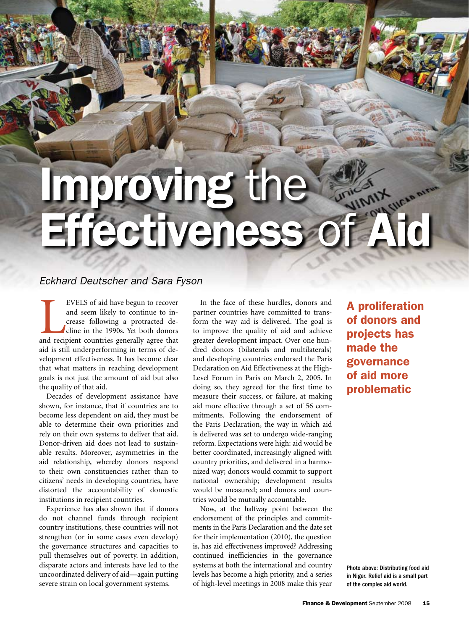# Improving the Fectiveness of Aid

# *Eckhard Deutscher and Sara Fyson*

EVELS of aid have begun to recover<br>and seem likely to continue to in-<br>crease following a protracted de-<br>cline in the 1990s. Yet both donors<br>and recipient countries generally agree that EVELS of aid have begun to recover and seem likely to continue to increase following a protracted decline in the 1990s. Yet both donors aid is still underperforming in terms of development effectiveness. It has become clear that what matters in reaching development goals is not just the amount of aid but also the quality of that aid.

Decades of development assistance have shown, for instance, that if countries are to become less dependent on aid, they must be able to determine their own priorities and rely on their own systems to deliver that aid. Donor-driven aid does not lead to sustainable results. Moreover, asymmetries in the aid relationship, whereby donors respond to their own constituencies rather than to citizens' needs in developing countries, have distorted the accountability of domestic institutions in recipient countries.

Experience has also shown that if donors do not channel funds through recipient country institutions, these countries will not strengthen (or in some cases even develop) the governance structures and capacities to pull themselves out of poverty. In addition, disparate actors and interests have led to the uncoordinated delivery of aid—again putting severe strain on local government systems.

In the face of these hurdles, donors and partner countries have committed to transform the way aid is delivered. The goal is to improve the quality of aid and achieve greater development impact. Over one hundred donors (bilaterals and multilaterals) and developing countries endorsed the Paris Declaration on Aid Effectiveness at the High-Level Forum in Paris on March 2, 2005. In doing so, they agreed for the first time to measure their success, or failure, at making aid more effective through a set of 56 commitments. Following the endorsement of the Paris Declaration, the way in which aid is delivered was set to undergo wide-ranging reform. Expectations were high: aid would be better coordinated, increasingly aligned with country priorities, and delivered in a harmonized way; donors would commit to support national ownership; development results would be measured; and donors and countries would be mutually accountable.

Now, at the halfway point between the endorsement of the principles and commitments in the Paris Declaration and the date set for their implementation (2010), the question is, has aid effectiveness improved? Addressing continued inefficiencies in the governance systems at both the international and country levels has become a high priority, and a series of high-level meetings in 2008 make this year

A proliferation of donors and projects has made the governance of aid more problematic

Photo above: Distributing food aid in Niger. Relief aid is a small part of the complex aid world.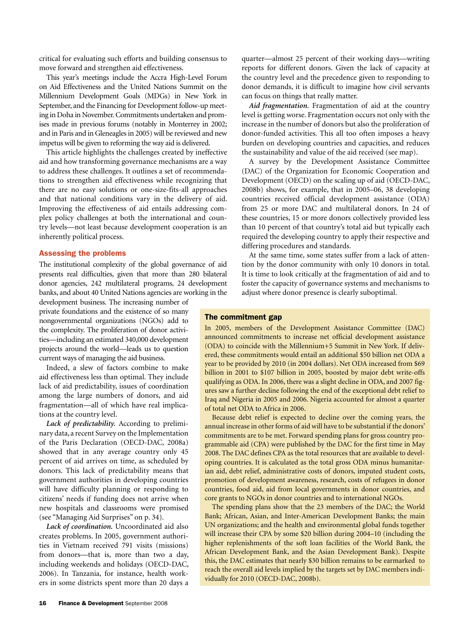critical for evaluating such efforts and building consensus to move forward and strengthen aid effectiveness.

This year's meetings include the Accra High-Level Forum on Aid Effectiveness and the United Nations Summit on the Millennium Development Goals (MDGs) in New York in September, and the Financing for Development follow-up meeting in Doha in November. Commitments undertaken and promises made in previous forums (notably in Monterrey in 2002; and in Paris and in Gleneagles in 2005) will be reviewed and new impetus will be given to reforming the way aid is delivered.

This article highlights the challenges created by ineffective aid and how transforming governance mechanisms are a way to address these challenges. It outlines a set of recommendations to strengthen aid effectiveness while recognizing that there are no easy solutions or one-size-fits-all approaches and that national conditions vary in the delivery of aid. Improving the effectiveness of aid entails addressing complex policy challenges at both the international and country levels—not least because development cooperation is an inherently political process.

#### Assessing the problems

The institutional complexity of the global governance of aid presents real difficulties, given that more than 280 bilateral donor agencies, 242 multilateral programs, 24 development banks, and about 40 United Nations agencies are working in the

development business. The increasing number of private foundations and the existence of so many nongovernmental organizations (NGOs) add to the complexity. The proliferation of donor activities—including an estimated 340,000 development projects around the world—leads us to question current ways of managing the aid business.

Indeed, a slew of factors combine to make aid effectiveness less than optimal. They include lack of aid predictability, issues of coordination among the large numbers of donors, and aid fragmentation—all of which have real implications at the country level.

*Lack of predictability.* According to preliminary data, a recent Survey on the Implementation of the Paris Declaration (OECD-DAC, 2008a) showed that in any average country only 45 percent of aid arrives on time, as scheduled by donors. This lack of predictability means that government authorities in developing countries will have difficulty planning or responding to citizens' needs if funding does not arrive when new hospitals and classrooms were promised (see "Managing Aid Surprises" on p. 34).

*Lack of coordination.* Uncoordinated aid also creates problems. In 2005, government authorities in Vietnam received 791 visits (missions) from donors—that is, more than two a day, including weekends and holidays (OECD-DAC, 2006). In Tanzania, for instance, health workers in some districts spent more than 20 days a

quarter—almost 25 percent of their working days—writing reports for different donors. Given the lack of capacity at the country level and the precedence given to responding to donor demands, it is difficult to imagine how civil servants can focus on things that really matter.

*Aid fragmentation.* Fragmentation of aid at the country level is getting worse. Fragmentation occurs not only with the increase in the number of donors but also the proliferation of donor-funded activities. This all too often imposes a heavy burden on developing countries and capacities, and reduces the sustainability and value of the aid received (see map).

A survey by the Development Assistance Committee (DAC) of the Organization for Economic Cooperation and Development (OECD) on the scaling up of aid (OECD-DAC, 2008b) shows, for example, that in 2005–06, 38 developing countries received official development assistance (ODA) from 25 or more DAC and multilateral donors. In 24 of these countries, 15 or more donors collectively provided less than 10 percent of that country's total aid but typically each required the developing country to apply their respective and differing procedures and standards.

At the same time, some states suffer from a lack of attention by the donor community with only 10 donors in total. It is time to look critically at the fragmentation of aid and to foster the capacity of governance systems and mechanisms to adjust where donor presence is clearly suboptimal.

### The commitment gap

In 2005, members of the Development Assistance Committee (DAC) announced commitments to increase net official development assistance (ODA) to coincide with the Millennium+5 Summit in New York. If delivered, these commitments would entail an additional \$50 billion net ODA a year to be provided by 2010 (in 2004 dollars). Net ODA increased from \$69 billion in 2001 to \$107 billion in 2005, boosted by major debt write-offs qualifying as ODA. In 2006, there was a slight decline in ODA, and 2007 figures saw a further decline following the end of the exceptional debt relief to Iraq and Nigeria in 2005 and 2006. Nigeria accounted for almost a quarter of total net ODA to Africa in 2006.

Because debt relief is expected to decline over the coming years, the annual increase in other forms of aid will have to be substantial if the donors' commitments are to be met. Forward spending plans for gross country programmable aid (CPA) were published by the DAC for the first time in May 2008. The DAC defines CPA as the total resources that are available to developing countries. It is calculated as the total gross ODA minus humanitarian aid, debt relief, administrative costs of donors, imputed student costs, promotion of development awareness, research, costs of refugees in donor countries, food aid, aid from local governments in donor countries, and core grants to NGOs in donor countries and to international NGOs.

The spending plans show that the 23 members of the DAC; the World Bank; African, Asian, and Inter-American Development Banks; the main UN organizations; and the health and environmental global funds together will increase their CPA by some \$20 billion during 2004–10 (including the higher replenishments of the soft loan facilities of the World Bank, the African Development Bank, and the Asian Development Bank). Despite this, the DAC estimates that nearly \$30 billion remains to be earmarked to reach the overall aid levels implied by the targets set by DAC members individually for 2010 (OECD-DAC, 2008b).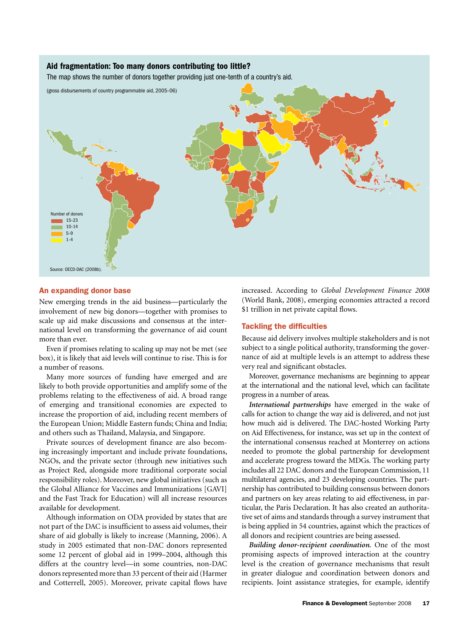# Aid fragmentation: Too many donors contributing too little?

The map shows the number of donors together providing just one-tenth of a country's aid.



# An expanding donor base

New emerging trends in the aid business—particularly the involvement of new big donors—together with promises to scale up aid make discussions and consensus at the international level on transforming the governance of aid count more than ever.

Even if promises relating to scaling up may not be met (see box), it is likely that aid levels will continue to rise. This is for a number of reasons.

Many more sources of funding have emerged and are likely to both provide opportunities and amplify some of the problems relating to the effectiveness of aid. A broad range of emerging and transitional economies are expected to increase the proportion of aid, including recent members of the European Union; Middle Eastern funds; China and India; and others such as Thailand, Malaysia, and Singapore.

Private sources of development finance are also becoming increasingly important and include private foundations, NGOs, and the private sector (through new initiatives such as Project Red, alongside more traditional corporate social responsibility roles). Moreover, new global initiatives (such as the Global Alliance for Vaccines and Immunizations [GAVI] and the Fast Track for Education) will all increase resources available for development.

Although information on ODA provided by states that are not part of the DAC is insufficient to assess aid volumes, their share of aid globally is likely to increase (Manning, 2006). A study in 2005 estimated that non-DAC donors represented some 12 percent of global aid in 1999–2004, although this differs at the country level—in some countries, non-DAC donors represented more than 33 percent of their aid (Harmer and Cotterrell, 2005). Moreover, private capital flows have

increased. According to *Global Development Finance 2008* (World Bank, 2008), emerging economies attracted a record \$1 trillion in net private capital flows.

# Tackling the difficulties

Because aid delivery involves multiple stakeholders and is not subject to a single political authority, transforming the governance of aid at multiple levels is an attempt to address these very real and significant obstacles.

Moreover, governance mechanisms are beginning to appear at the international and the national level, which can facilitate progress in a number of areas.

*International partnerships* have emerged in the wake of calls for action to change the way aid is delivered, and not just how much aid is delivered. The DAC-hosted Working Party on Aid Effectiveness, for instance, was set up in the context of the international consensus reached at Monterrey on actions needed to promote the global partnership for development and accelerate progress toward the MDGs. The working party includes all 22 DAC donors and the European Commission, 11 multilateral agencies, and 23 developing countries. The partnership has contributed to building consensus between donors and partners on key areas relating to aid effectiveness, in particular, the Paris Declaration. It has also created an authoritative set of aims and standards through a survey instrument that is being applied in 54 countries, against which the practices of all donors and recipient countries are being assessed.

*Building donor-recipient coordination.* One of the most promising aspects of improved interaction at the country level is the creation of governance mechanisms that result in greater dialogue and coordination between donors and recipients. Joint assistance strategies, for example, identify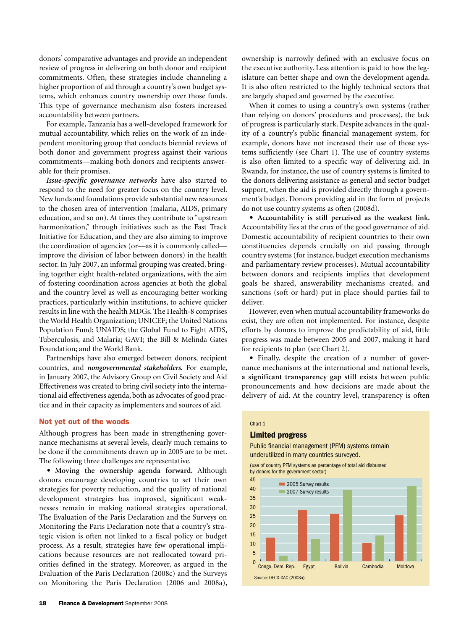donors' comparative advantages and provide an independent review of progress in delivering on both donor and recipient commitments. Often, these strategies include channeling a higher proportion of aid through a country's own budget systems, which enhances country ownership over those funds. This type of governance mechanism also fosters increased accountability between partners.

For example, Tanzania has a well-developed framework for mutual accountability, which relies on the work of an independent monitoring group that conducts biennial reviews of both donor and government progress against their various commitments—making both donors and recipients answerable for their promises.

*Issue-specific governance networks* have also started to respond to the need for greater focus on the country level. New funds and foundations provide substantial new resources to the chosen area of intervention (malaria, AIDS, primary education, and so on). At times they contribute to "upstream harmonization," through initiatives such as the Fast Track Initiative for Education, and they are also aiming to improve the coordination of agencies (or—as it is commonly called improve the division of labor between donors) in the health sector. In July 2007, an informal grouping was created, bringing together eight health-related organizations, with the aim of fostering coordination across agencies at both the global and the country level as well as encouraging better working practices, particularly within institutions, to achieve quicker results in line with the health MDGs. The Health-8 comprises the World Health Organization; UNICEF; the United Nations Population Fund; UNAIDS; the Global Fund to Fight AIDS, Tuberculosis, and Malaria; GAVI; the Bill & Melinda Gates Foundation; and the World Bank.

Partnerships have also emerged between donors, recipient countries, and *nongovernmental stakeholders.* For example, in January 2007, the Advisory Group on Civil Society and Aid Effectiveness was created to bring civil society into the international aid effectiveness agenda, both as advocates of good practice and in their capacity as implementers and sources of aid.

#### Not yet out of the woods

Although progress has been made in strengthening governance mechanisms at several levels, clearly much remains to be done if the commitments drawn up in 2005 are to be met. The following three challenges are representative.

• **Moving the ownership agenda forward.** Although donors encourage developing countries to set their own strategies for poverty reduction, and the quality of national development strategies has improved, significant weaknesses remain in making national strategies operational. The Evaluation of the Paris Declaration and the Surveys on Monitoring the Paris Declaration note that a country's strategic vision is often not linked to a fiscal policy or budget process. As a result, strategies have few operational implications because resources are not reallocated toward priorities defined in the strategy. Moreover, as argued in the Evaluation of the Paris Declaration (2008c) and the Surveys on Monitoring the Paris Declaration (2006 and 2008a),

ownership is narrowly defined with an exclusive focus on the executive authority. Less attention is paid to how the legislature can better shape and own the development agenda. It is also often restricted to the highly technical sectors that are largely shaped and governed by the executive.

When it comes to using a country's own systems (rather than relying on donors' procedures and processes), the lack of progress is particularly stark. Despite advances in the quality of a country's public financial management system, for example, donors have not increased their use of those systems sufficiently (see Chart 1). The use of country systems is also often limited to a specific way of delivering aid. In Rwanda, for instance, the use of country systems is limited to the donors delivering assistance as general and sector budget support, when the aid is provided directly through a government's budget. Donors providing aid in the form of projects do not use country systems as often (2008d).

• **Accountability is still perceived as the weakest link.**  Accountability lies at the crux of the good governance of aid. Domestic accountability of recipient countries to their own constituencies depends crucially on aid passing through country systems (for instance, budget execution mechanisms and parliamentary review processes). Mutual accountability between donors and recipients implies that development goals be shared, answerability mechanisms created, and sanctions (soft or hard) put in place should parties fail to deliver.

However, even when mutual accountability frameworks do exist, they are often not implemented. For instance, despite efforts by donors to improve the predictability of aid, little progress was made between 2005 and 2007, making it hard for recipients to plan (see Chart 2).

• Finally, despite the creation of a number of governance mechanisms at the international and national levels, a significant transparency gap still exists between public pronouncements and how decisions are made about the delivery of aid. At the country level, transparency is often

# Chart 1

# Limited progress

Public financial management (PFM) systems remain underutilized in many countries surveyed.

(use of country PFM systems as percentage of total aid disbursed by donors for the government sector)